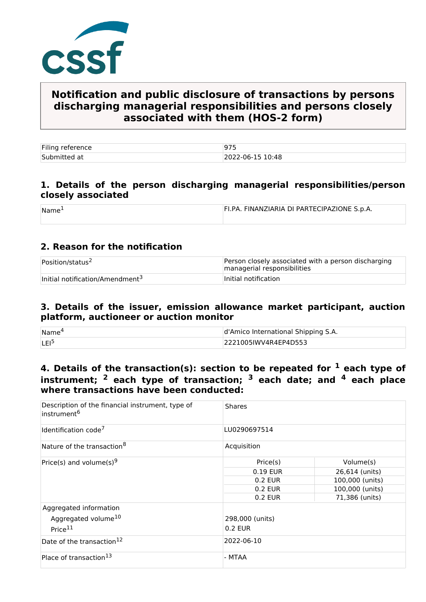

# **Notification and public disclosure of transactions by persons discharging managerial responsibilities and persons closely associated with them (HOS-2 form)**

| Filing reference |                  |
|------------------|------------------|
| Submitted at     | 2022-06-15 10:48 |

### **1. Details of the person discharging managerial responsibilities/person closely associated**

| Name | FI.PA. FINANZIARIA DI PARTECIPAZIONE S.p.A. |
|------|---------------------------------------------|
|      |                                             |

## **2. Reason for the notification**

| Position/status <sup>2</sup>                | Person closely associated with a person discharging<br>managerial responsibilities |
|---------------------------------------------|------------------------------------------------------------------------------------|
| Initial notification/Amendment <sup>3</sup> | Initial notification                                                               |

#### **3. Details of the issuer, emission allowance market participant, auction platform, auctioneer or auction monitor**

| Name <sup>®</sup> | d'Amico International Shipping S.A. |  |
|-------------------|-------------------------------------|--|
| <b>LEI</b>        | 2221005IWV4R4EP4D553                |  |

# **4. Details of the transaction(s): section to be repeated for 1 each type of instrument; 2 each type of transaction; 3 each date; and 4 each place where transactions have been conducted:**

| Description of the financial instrument, type of<br>instrument <sup>6</sup>      | <b>Shares</b>              |                 |  |  |
|----------------------------------------------------------------------------------|----------------------------|-----------------|--|--|
| Identification code <sup>7</sup>                                                 | LU0290697514               |                 |  |  |
| Nature of the transaction <sup>8</sup>                                           | Acquisition                |                 |  |  |
| Price(s) and volume(s) <sup>9</sup>                                              | Price(s)                   | Volume(s)       |  |  |
|                                                                                  | 0.19 EUR                   | 26,614 (units)  |  |  |
|                                                                                  | 0.2 EUR                    | 100,000 (units) |  |  |
|                                                                                  | 0.2 EUR                    | 100,000 (units) |  |  |
|                                                                                  | 0.2 EUR                    | 71,386 (units)  |  |  |
| Aggregated information<br>Aggregated volume <sup>10</sup><br>Price <sup>11</sup> | 298,000 (units)<br>0.2 EUR |                 |  |  |
| Date of the transaction <sup>12</sup>                                            | 2022-06-10                 |                 |  |  |
| Place of transaction <sup>13</sup>                                               | - MTAA                     |                 |  |  |